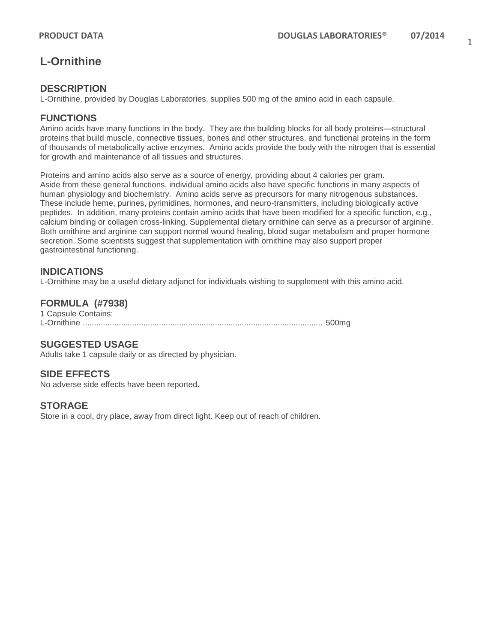# **L-Ornithine**

### **DESCRIPTION**

L-Ornithine, provided by Douglas Laboratories, supplies 500 mg of the amino acid in each capsule.

#### **FUNCTIONS**

Amino acids have many functions in the body. They are the building blocks for all body proteins—structural proteins that build muscle, connective tissues, bones and other structures, and functional proteins in the form of thousands of metabolically active enzymes. Amino acids provide the body with the nitrogen that is essential for growth and maintenance of all tissues and structures.

Proteins and amino acids also serve as a source of energy, providing about 4 calories per gram. Aside from these general functions, individual amino acids also have specific functions in many aspects of human physiology and biochemistry. Amino acids serve as precursors for many nitrogenous substances. These include heme, purines, pyrimidines, hormones, and neuro-transmitters, including biologically active peptides. In addition, many proteins contain amino acids that have been modified for a specific function, e.g., calcium binding or collagen cross-linking. Supplemental dietary ornithine can serve as a precursor of arginine. Both ornithine and arginine can support normal wound healing, blood sugar metabolism and proper hormone secretion. Some scientists suggest that supplementation with ornithine may also support proper gastrointestinal functioning.

# **INDICATIONS**

L-Ornithine may be a useful dietary adjunct for individuals wishing to supplement with this amino acid.

# **FORMULA (#7938)**

1 Capsule Contains: L-Ornithine ........................................................................................................... 500mg

# **SUGGESTED USAGE**

Adults take 1 capsule daily or as directed by physician.

### **SIDE EFFECTS**

No adverse side effects have been reported.

#### **STORAGE**

Store in a cool, dry place, away from direct light. Keep out of reach of children.

1